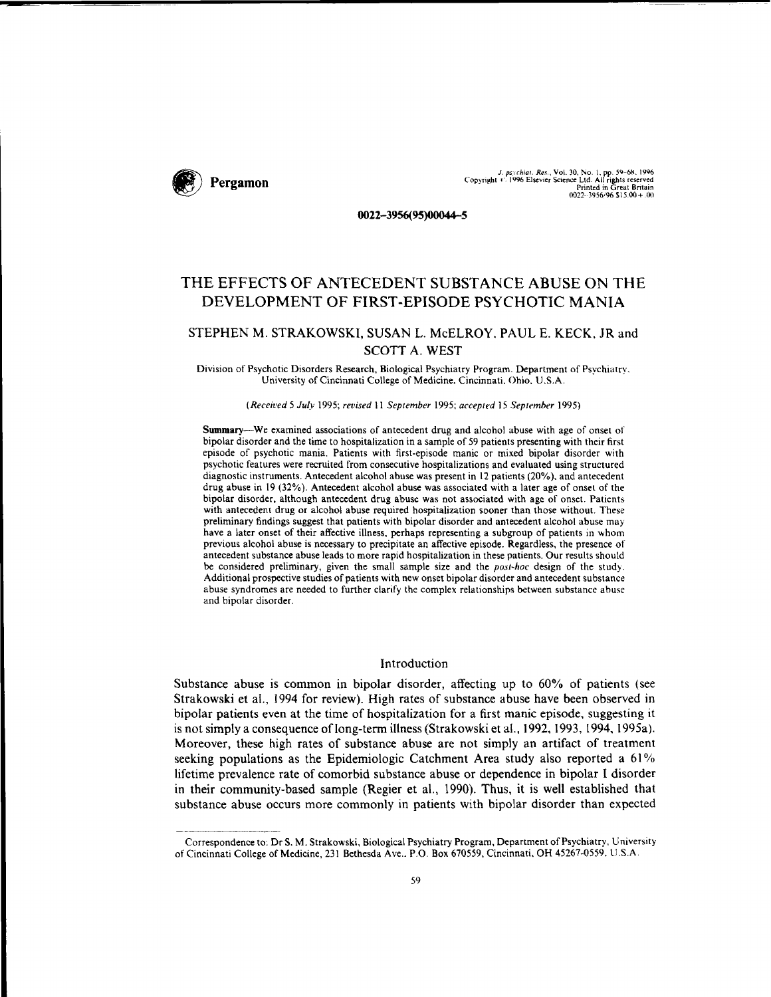

0022-3956(95)00044-5

# THE EFFECTS OF ANTECEDENT SUBSTANCE ABUSE ON THE DEVELOPMENT OF FIRST.EPISODE PSYCHOTIC MANIA

# STEPHEN M. STRAKOWSKI, SUSAN L. McELROY. PAUL E. KECK. JR and SCOTT A. WEST

Division of Psychotic Disorders Research, Biological Psychiatry Program. Department of Psychiatry. University of Cincinnati College of Medicine. Cincinnati. Ohio. U.S.A.

#### (Received 5 July 1995; revised 11 September 1995; accepted 15 September 1995)

Summary-We examined associations of antecedent drug and alcohol abuse with age of onset of bipolar disorder and the time to hospitalization in a sample of 59 patients presenting with their first episode of psychotic mania. Patients with first-episode manic or mixed bipolar disorder with psychotic features were recruited from consecutive hospitalizations and evaluated using structured diagnostic instruments. Antecedent alcohol abuse was present in l2 patients (20%). and antecedent drug abuse in l9 (32%). Antecedent alcohol abuse was associated with a later age of onset of the bipolar disorder, although antecedent drug abuse was not associated with age of onset. Patients with antecedent drug or alcohol abuse required hospitalization sooner than those without. These preliminary findings suggest that patients with bipolar disorder and antecedent alcohol abuse may have a later onsct of their affective illness, perhaps representing a subgroup of patients in whom previous alcohol abuse is neccssary to precipitate an affectivc episode. Regardless, the presence of antecedent substance abuse leads to more rapid hospitalization in these patients. Our results should be considered preliminary, given the small sample size and the post-hoc design of the study. Additional prospective studies of patients with new onset bipolar disorder and antecedent substance abuse syndromes are needed to further clarify the complex relationships between substance abuse and bioolar disorder.

### Introduction

Substance abuse is common in bipolar disorder, affecting up to 60% of patients (see Strakowski et al., 1994 for review). High rates of substance abuse have been observed in bipolar patients even at the time of hospitalization for a first manic episode, suggesting it is not simply a consequence of long-term illness (Strakowski et al.,1992,1993, 1994. 1995a). Moreover, these high rates of substance abuse are not simply an artifact of treatment seeking populations as the Epidemiologic Catchment Area study also reported a  $61\%$ lifetime prevalence rate of comorbid substance abuse or dependence in bipolar I disorder in their community-based sample (Regier et al., 1990). Thus, it is well established that substance abuse occurs more commonly in patients with bipolar disorder than expected

Correspondence to: Dr S. M. Strakowski, Biological Psychiatry Program, Department of Psychiatry, University of Cincinnati College of Medicine,23l Bethesda Avc.. P.O. Box 670559, Cincinnati. OH 45267-0559. Ll.S.A.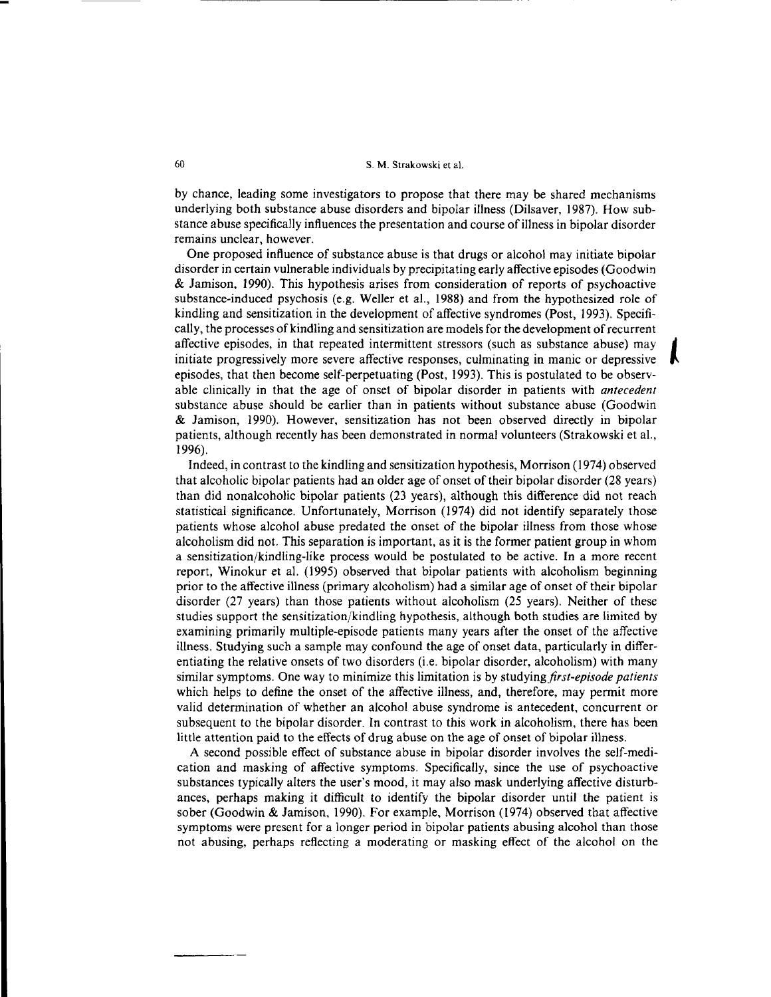# 60 S. M. Strakowski et al

by chance, leading some investigators to propose that there may be shared mechanisms underlying both substance abuse disorders and bipolar illness (Dilsaver, 1987). How substance abuse specifically influences the presentation and course ofillness in bipolar disorder remains unclear. however.

One proposed influence of substance abuse is that drugs or alcohol may initiate bipolar disorder in certain vulnerable individuals by precipitating early affective episodes (Goodwin & Jamison, 1990). This hypothesis arises from consideration of reports of psychoactive substance-induced psychosis (e.g. Weller et al., 1988) and from the hypothesized role of kindling and sensitization in the development of affective syndromes (Post, 1993). Specifically, the processes ofkindling and sensitization are models for the development of recurrent affective episodes, in that repeated intermittent stressors (such as substance abuse) may initiate progressively more severe affective responses, culminating in manic or depressive episodes, that then become self-perpetuating (Post, 1993). This is postulated to be observable clinically in that the age of onset of bipolar disorder in patients with antecedent substance abuse should be earlier than in patients without substance abuse (Goodwin & Jamison, 1990). However, sensitization has not been observed directly in bipolar patients, although recently has been demonstrated in normal volunteers (Strakowski et al., 1996).

Indeed, in contrast to the kindling and sensitization hypothesis, Morrison (1974) observed that alcoholic bipolar patients had an older age of onset of their bipolar disorder (28 years) than did nonalcoholic bipolar patients (23 years), although this difference did not reach statistical significance. Unfortunately, Morrison (1974) did not identify separately those patients whose alcohol abuse predated the onset of the bipolar illness from those whose alcoholism did not. This separation is important, as it is the former patient group in whom a sensitization/kindling-like process would be postulated to be active. In a more recent report, Winokur et al. (1995) observed that bipolar patients with alcoholism beginning prior to the affective illness (primary alcoholism) had a similar age of onset of their bipolar disorder (27 years) than those patients without alcoholism (25 years). Neither of these studies support the sensitization/kindling hypothesis, although both studies are limited by examining primarily multiple-episode patients many years after the onset of the affective illness. Studying such a sample may confound the age of onset data, particularly in differentiating the relative onsets of two disorders (i.e. bipolar disorder. alcoholism) with many similar symptoms. One way to minimize this limitation is by studying first-episode patients which helps to define the onset of the affective illness, and, therefore, may permit more valid determination of whether an alcohol abuse syndrome is antecedent, concurrent or subsequent to the bipolar disorder. In contrast to this work in alcoholism, there has been little attention paid to the effects of drug abuse on the age of onset of bipolar illness.

A second possible effect of substance abuse in bipolar disorder involves the self-medication and masking of affective symptoms. Specifically, since the use of psychoactive substances typically alters the user's mood, it may also mask underlying affective disturbances, perhaps making it difficult to identify the bipolar disorder until the patient is sober (Goodwin & Jamison, 1990). For example, Morrison (1974) observed that affective symptoms were present for a longer period in bipolar patients abusing alcohol than those not abusing, perhaps reflecting a moderating or masking effect of the alcohol on the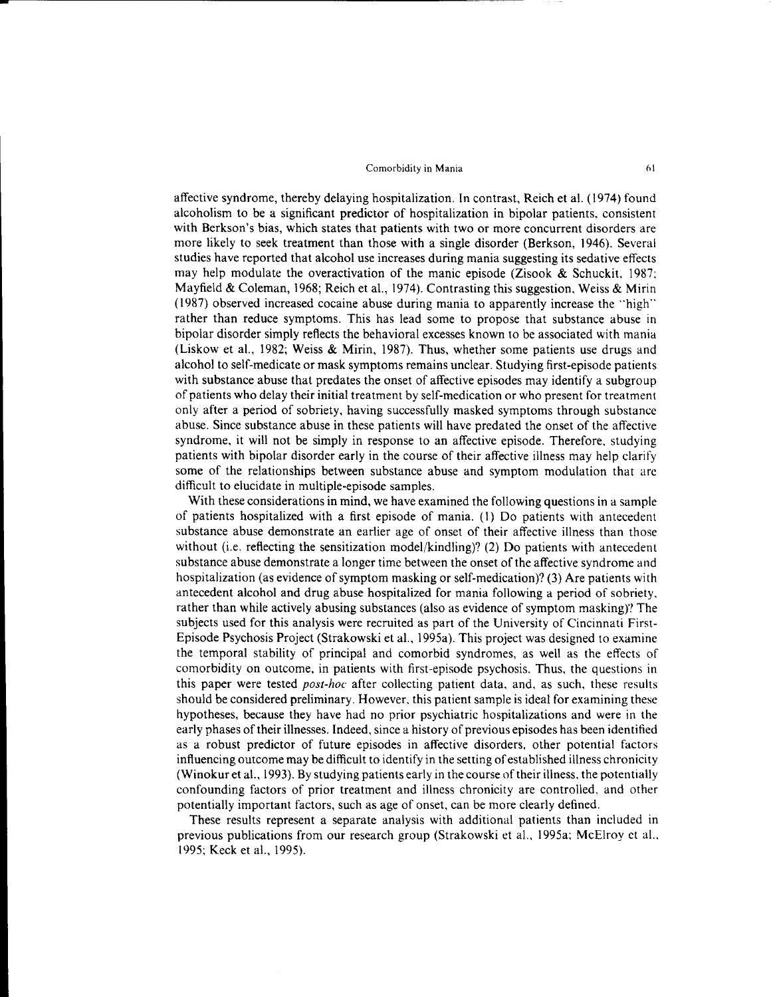affective syndrome, thereby delaying hospitalization. In contrast, Reich et al. (1974) found alcoholism to be a significant predictor of hospitalization in bipolar patients. consistent with Berkson's bias, which states that patients with two or more concurrent disorders are more likely to seek treatment than those with a single disorder (Berkson, 1946). Several studies have reported that alcohol use increases during mania suggesting its sedative effects may help modulate the overactivation of the manic episode (Zisook & Schuckit, 1987: Mayfield & Coleman, 1968; Reich et al., 1974). Contrasting this suggestion, Weiss & Mirin (1987) observed increased cocaine abuse during mania to apparently increase the "high" rather than reduce symptoms. This has lead some to propose that substance abuse in bipolar disorder simply reflects the behavioral excesses known to be associated with mania (Liskow et al., 1982; Weiss & Mirin, 1987). Thus, whether some patients use drugs and alcohol to self-medicate or mask symptoms remains unclear. Studying first-episode patients with substance abuse that predates the onset of affective episodes may identify a subgroup of patients who delay their initial treatment by self-medication or who present for treatment only after a period of sobriety, having successfully masked symptoms through substance abuse. Since substance abuse in these patients will have predated the onset of the affective syndrome, it will not be simply in response to an affective episode. Therefore, studying patients with bipolar disorder early in the course of their affective illness may help clarify some of the relationships between substance abuse and symptom modulation that arc difficult to elucidate in multiple-episode samples.

With these considerations in mind, we have examined the following questions in a sample of patients hospitalized with a first episode of mania. (l) Do patients with antecedent substance abuse demonstrate an earlier age of onset of their affective illness than those without (i.e. reflecting the sensitization model/kindling)? (2) Do patients with antecedent substance abuse demonstrate a longer time between the onset of the affective syndrome and hospitalization (as evidence of symptom masking or self-medication)? (3) Are patients with antecedent alcohol and drug abuse hospitalized for mania following a period of sobriety. rather than while actively abusing substances (also as evidence of symptom masking)? The subjects used for this analysis were recruited as part of the University of Cincinnati First-Episode Psychosis Project (Strakowski et al., 1995a). This project was designed to examine the temporal stability of principal and comorbid syndromes, as well as the effects of comorbidity on outcome, in patients with first-episode psychosis. Thus, the questions in this paper were tested *post-hoc* after collecting patient data. and, as such, these results should be considered preliminary. However. this patient sample is ideal for examining these hypotheses, because they have had no prior psychiatric hospitalizations and were in the early phases of their illnesses. Indeed, since a history of previous episodes has been identified as a robust predictor of future episodes in affective disorders. other potential factors influencing outcome may be difficult to identify in the setting of established illness chronicity (Winokur et al., 1993). By studying patients early in the course of their illness. the potentially confounding factors of prior treatment and illness chronicity are controlled. and other potentially important factors, such as age of onset, can be more clearly defined.

These results represent a separate analysis with additional patients than included in previous publications from our research group (Strakowski et al., 1995a: McElroy et al.. 1995; Keck et al., 1995).

6<sup>1</sup>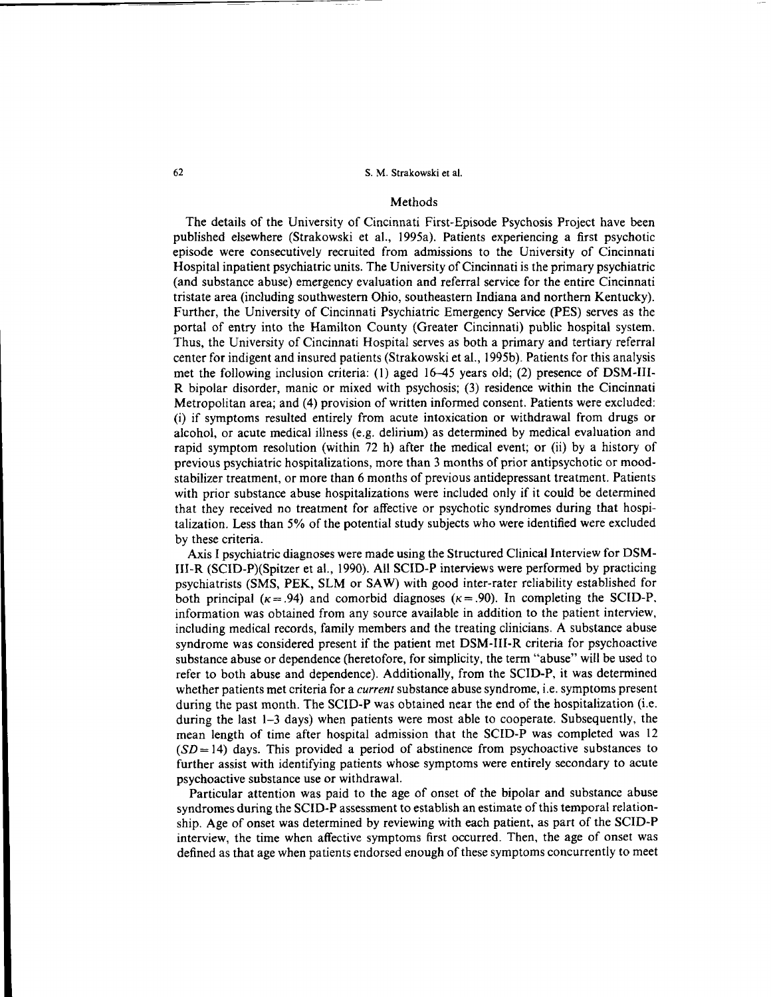S. M. Strakowski et al.

# Methods

The details of the University of Cincinnati First-Episode Psychosis Project have been published elsewhere (Strakowski et al., 1995a). Patients experiencing a first psychotic episode were consecutively recruited from admissions to the University of Cincinnati Hospital inpatient psychiatric units. The University of Cincinnatis the primary psychiatric (and substance abuse) emergency evaluation and referral service for the entire Cincinnati tristate area (including southwestern Ohio, southeastern Indiana and northern Kentucky). Further, the University of Cincinnati Psychiatric Emergency Service (PES) serves as the portal of entry into the Hamilton County (Greater Cincinnati) public hospital system. Thus, the University of Cincinnati Hospital serves as both a primary and tertiary referral center for indigent and insured patients (Strakowski et al., 1995b). Patients for this analysis met the following inclusion criteria: (1) aged 16–45 years old; (2) presence of DSM-III-R bipolar disorder, manic or mixed with psychosis; (3) residence within the Cincinnati Metropolitan area; and (4) provision of written informed consent, Patients were excluded: (i) if symptorns resulted entirely from acute intoxication or withdrawal from drugs or alcohol, or acute medical illness (e.g. delirium) as determined by medical evaluation and rapid symptom resolution (within 72 h) after the medical event; or (ii) by a history of previous psychiatric hospitalizations, more than 3 months of prior antipsychotic or moodstabilizer treatment, or more than 6 months of previous antidepressant treatment. Patients with prior substance abuse hospitalizations were included only if it could be determined that they received no treatment for affective or psychotic syndromes during that hospitalization. Less than  $5\%$  of the potential study subjects who were identified were excluded by these criteria.

Axis I psychiatric diagnoses were made using the Structured Clinical Interview for DSM-III-R (SCID-P)(Spitzer et al., 1990). All SCID-P interviews were performed by practicing psychiatrists (SMS, PEK, SLM or SAW) with good inter-rater reliability established for both principal ( $\kappa$ =.94) and comorbid diagnoses ( $\kappa$ =.90). In completing the SCID-P. information was obtained from any source available in addition to the patient interview, including medical records, family members and the treating clinicians. A substance abuse syndrome was considered present if the patient met DSM-III-R criteria for psychoactive substance abuse or dependence (hcretofore, for simplicity, the term "abuse" will be used to refer to both abuse and dependence). Additionally, from the SCID-P, it was determined whether patients met criteria for a *current* substance abuse syndrome, i.e. symptoms present during the past month. The SCID-P was obtained near the end of the hospitalization (i.e. during the last l-3 days) when patients were most able to cooperate. Subsequently, the mean length of time after hospital admission that the SCID-P was completed was 12  $(SD=14)$  days. This provided a period of abstinence from psychoactive substances to further assist with identifying patients whose symptoms were entirely secondary to acute psychoactive substance use or withdrawal.

Particular attention was paid to the age of onset of the bipolar and substance abuse syndromes during the SCID-P assessment to establish an estimate of this temporal relationship. Age of onset was determined by reviewing with each patient, as part of the SCID-P interview, the time when affective symptoms first occurred. Then, the age of onset was defined as that age when patients endorsed enough of these symptoms concurrently to meet

62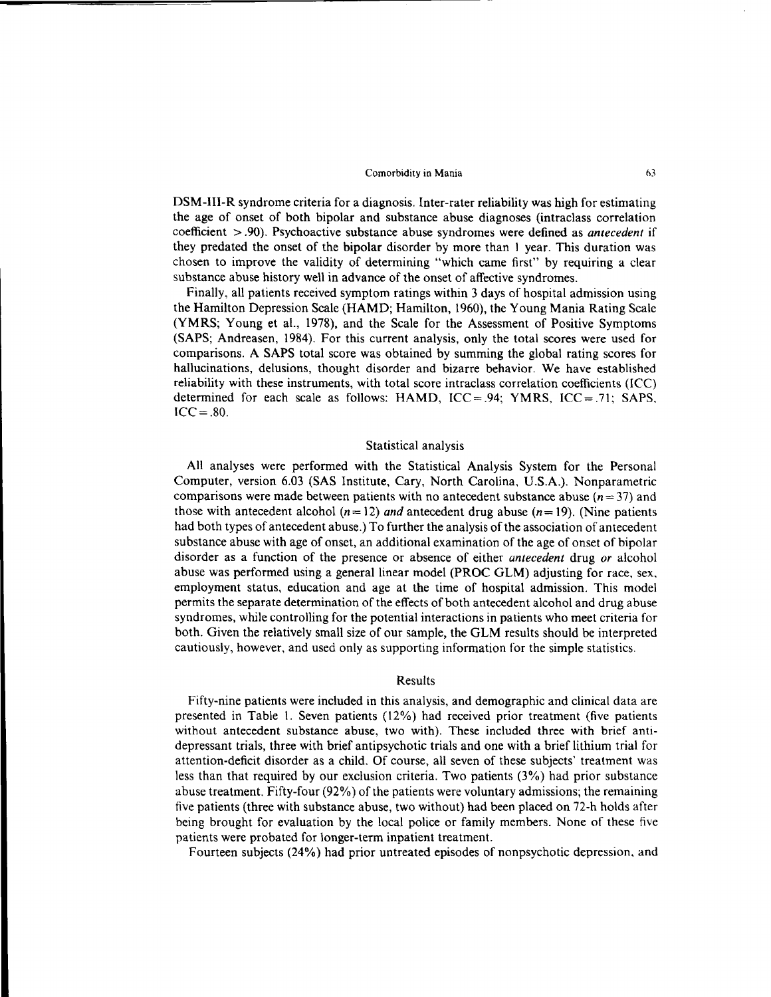DSM-III-R syndrome criteria for a diagnosis. Inter-rater reliability was high for estimating the age of onset of both bipolar and substance abuse diagnoses (intraclass correlation coefficient  $>$ .90). Psychoactive substance abuse syndromes were defined as *antecedent* if they predated the onset of the bipolar disorder by more than I year. This duration was chosen to improve the validity of determining "which came first" by requiring a clear substance abuse history well in advance of the onset of affective syndromes.

Finally, all patients received symptom ratings within 3 days of hospital admission using the Hamilton Depression Scale (HAMD; Hamilton, 1960), the Young Mania Rating Scale (YMRS; Young et al., 1978), and the Scale for the Assessment of Positive Symptoms (SAPS; Andreasen, 1984). For this current analysis, only the total scores were used for comparisons. A SAPS total score was obtained by summing the global rating scores for hallucinations, delusions, thought disorder and bizarre behavior. We have established reliability with these instruments, with total score intraclass correlation coefficients (lCC) determined for each scale as follows: HAMD,  $ICC=.94$ ; YMRS,  $ICC=.71$ ; SAPS.  $ICC=.80.$ 

## Statistical analysis

All analyses were performed with the Statistical Analysis System for the Personal Computer, version 6.03 (SAS Institute, Cary, North Carolina. U.S.A.). Nonparametric comparisons were made between patients with no antecedent substance abuse  $(n=37)$  and those with antecedent alcohol ( $n=12$ ) and antecedent drug abuse ( $n=19$ ). (Nine patients had both types of antecedent abuse.) To further the analysis of the association of antecedent substance abuse with age of onset, an additional examination of the age of onset of bipolar disorder as a function of the presence or absence of either *antecedent* drug or alcohol abuse was performed using a general linear model (PROC GLM) adjusting for race. sex, employment status, education and age at the time of hospital admission. This model permits the separate determination of the effects of both antecedent alcohol and drug abuse syndromes, while controlling for the potential interactions in patients who meet criteria for both. Given the reiatively small size of our sample, the GLM results should be interpreted cautiously, however, and used only as supporting information for the simple statistics.

# Results

Fifty-nine patients were included in this analysis, and demographic and clinical data are presented in Table l. Seven patients (12%) had received prior treatment (five patients without antecedent substance abuse, two with). These included three with brief antidepressant trials, three with brief antipsychotic trials and one with a brief lithium trial for attention-deficit disorder as a child. Of course, all seven of these subjects' treatment was less than that required by our exclusion criteria. Two patients (3%) had prior substance abuse treatment. Fifty-four (92%) of the patients were voluntary admissions; the remaining five patients (three with substance abuse, two without) had been placed on ?2-h holds after being brought for evaluation by the local police or family members. None of these five patients were probated for longer-term inpatient treatment.

Fourteen subjects (24%) had prior untreated episodes of nonpsychotic depression. and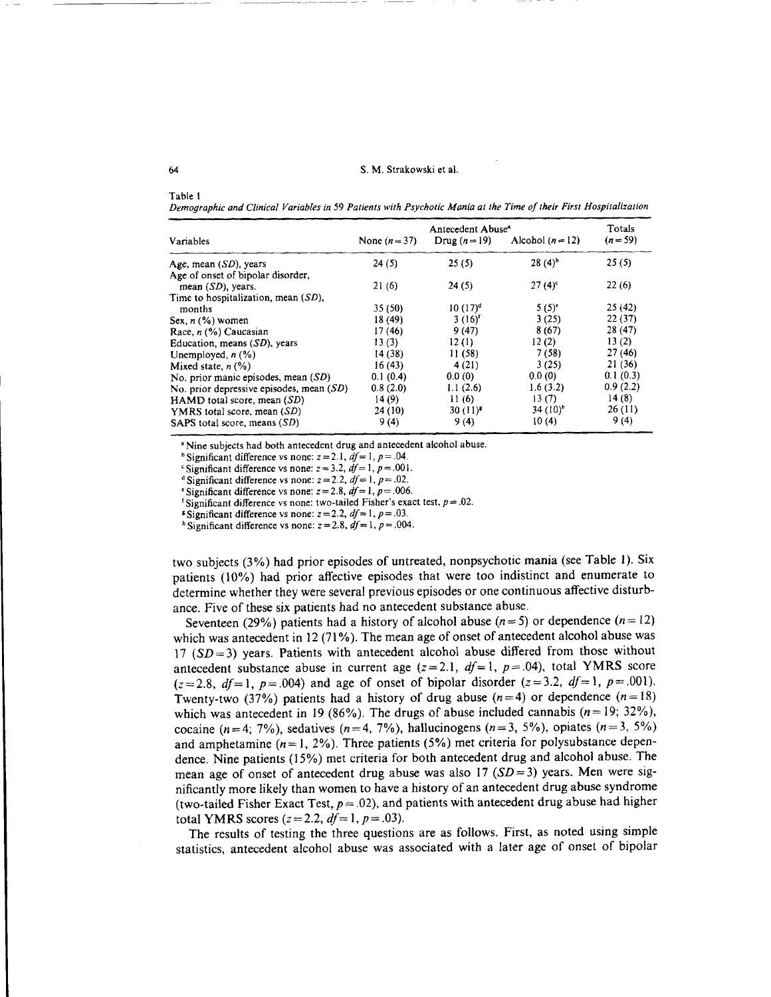#### 64 S. M. Strakowski et al.

Table I Demographic and Clinical Variables in 59 Patients with Psychotic Mania at the Time of their First Hospitalization

|                                            | Antecedent Abuse* |               |                  | Totals     |
|--------------------------------------------|-------------------|---------------|------------------|------------|
| Variables                                  | None $(n=37)$     | Drug $(n=19)$ | Alcohol $(n=12)$ | $(n = 59)$ |
| Age, mean $(SD)$ , years                   | 24(5)             | 25(5)         | $28(4)^{b}$      | 25(5)      |
| Age of onset of bipolar disorder,          |                   |               |                  |            |
| mean $(SD)$ , years.                       | 21 (6)            | 24(5)         | $27(4)^c$        | 22(6)      |
| Time to hospitalization, mean $(SD)$ ,     |                   |               |                  |            |
| months                                     | 35(50)            | $10(17)^d$    | $5(5)^{e}$       | 25(42)     |
| Sex, $n$ (%) women                         | 18 (49)           | $3(16)^{f}$   | 3(25)            | 22(37)     |
| Race, $n$ (%) Caucasian                    | 17(46)            | 9(47)         | 8(67)            | 28(47)     |
| Education, means $(SD)$ , years            | 13(3)             | 12(1)         | 12(2)            | 13(2)      |
| Unemployed, $n$ (%)                        | 14(38)            | 11(58)        | 7(58)            | 27(46)     |
| Mixed state, $n\left(\%\right)$            | 16(43)            | 4(21)         | 3(25)            | 21(36)     |
| No. prior manic episodes, mean $(SD)$      | 0.1(0.4)          | 0.0(0)        | 0.0(0)           | 0.1(0.3)   |
| No. prior depressive episodes, mean $(SD)$ | 0.8(2.0)          | 1.1(2.6)      | 1.6(3.2)         | 0.9(2.2)   |
| $HAMD$ total score, mean $(SD)$            | 14(9)             | 11(6)         | 13(7)            | 14(8)      |
| YMRS total score, mean $(SD)$              | 24 (10)           | $30(11)^8$    | $34(10)^n$       | 26(11)     |
| SAPS total score, means $(SD)$             | 9(4)              | 9(4)          | 10(4)            | 9(4)       |

" Nine subjects had both antecedent drug and antecedent alcohol abuse.

<sup>b</sup> Significant difference vs none:  $z = 2.1$ ,  $df = 1$ ,  $p = .04$ .

'Significant difference vs none:  $z = 3.2$ ,  $df = 1$ ,  $p = .001$ .

<sup>d</sup> Significant difference vs none:  $z=2.2$ ,  $df=1$ ,  $p=.02$ .

Significant difference vs none:  $z=2.8$ ,  $df=1$ ,  $p=.006$ .

<sup>f</sup> Significant difference vs none: two-tailed Fisher's exact test,  $p = 0.02$ .

<sup>s</sup> Significant difference vs none:  $z=2.2$ ,  $df=1$ ,  $p=.03$ .

h Significant difference vs none:  $z = 2.8$ ,  $df = 1$ ,  $p = .004$ .

two subjects (3%) had prior episodes of untreated, nonpsychotic mania (see Table 1). Six patients (10%) had prior affective episodes that were too indistinct and enumerate to determine whether they were several previous episodes or one continuous affective disturbance. Five of these six patients had no antecedent substance abuse.

Seventeen (29%) patients had a history of alcohol abuse ( $n=5$ ) or dependence ( $n=12$ ) which was antecedent in 12 (71%). The mean age of onset of antecedent alcohol abuse was 17 ( $SD=3$ ) years. Patients with antecedent alcohol abuse differed from those without antecedent substance abuse in current age ( $z=2.1$ ,  $df=1$ ,  $p=.04$ ), total YMRS score  $(z=2.8, df=1, p=.004)$  and age of onset of bipolar disorder  $(z=3.2, df=1, p=.001)$ . Twenty-two (37%) patients had a history of drug abuse ( $n=4$ ) or dependence ( $n=18$ ) which was antecedent in 19 (86%). The drugs of abuse included cannabis ( $n=19$ ; 32%), cocaine (n=4; 7%), sedatives (n=4, 7%), hallucinogens (n=3, 5%), opiates (n=3, 5%) and amphetamine  $(n=1, 2\%)$ . Three patients (5%) met criteria for polysubstance dependence. Nine patients (15%) met criteria for both antecedent drug and alcohol abuse. The mean age of onset of antecedent drug abuse was also 17  $(SD=3)$  years. Men were significantly more likely than women to have a history of an antecedent drug abuse syndrome (two-tailed Fisher Exact Test,  $p = .02$ ), and patients with antecedent drug abuse had higher total YMRS scores ( $z = 2.2$ ,  $df = 1$ ,  $p = .03$ ).

The results of testing the three questions are as follows. First, as noted using simple statistics. antecedent alcohol abuse was associated with a later age of onset of bipolar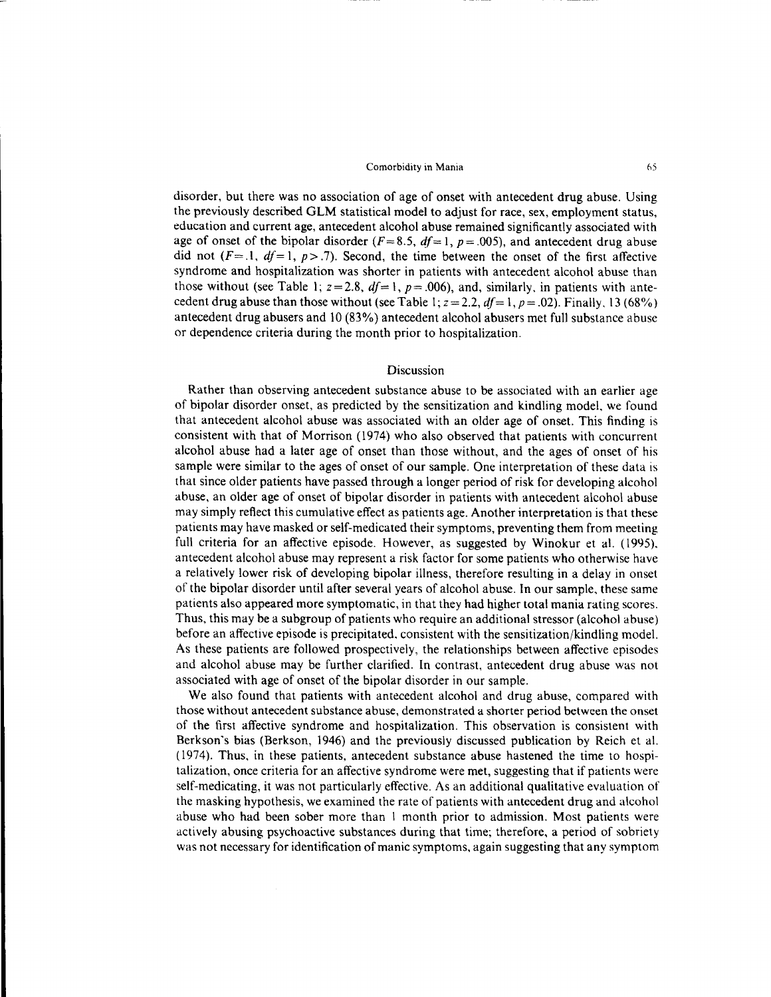disorder, but there was no association of age of onset with antecedent drug abuse. Using the previously described GLM statistical model to adjust for race, sex, employment status, education and current age, antecedent alcohol abuse remained significantly associated with age of onset of the bipolar disorder ( $F=8.5$ ,  $df=1$ ,  $p=.005$ ), and antecedent drug abuse did not  $(F = 1, df = 1, p > .7)$ . Second, the time between the onset of the first affective syndrome and hospitalization was shorter in patients with antecedent alcohot abuse than those without (see Table 1;  $z=2.8$ ,  $df=1$ ,  $p=.006$ ), and, similarly, in patients with antecedent drug abuse than those without (see Table 1;  $z=2.2$ ,  $df=1$ ,  $p=.02$ ). Finally, 13 (68%) antecedent drug abusers and 10 (83%) antecedent alcohol abusers met full substance abuse or dependence criteria during the month prior to hospitalization.

### Discussion

Rather than observing antecedent substance abuse to be associated with an earlier age of bipolar disorder onset, as predicted by the sensitization and kindling model. we found that antecedent alcohol abuse was associated with an older age of onset. This finding is consistent with that of Morrison (1974) who also observed that patients with concurrent alcohol abuse had a later age of onset than those without, and the ages of onset of his sample were similar to the ages of onset of our sample. One interpretation of these data is that since older patients have passed through a longer period of risk for developing alcohol abuse, an older age of onset of bipolar disorder in patients with antecedent alcohol abuse may simply reflect this cumulative effect as patients age. Another interpretation is that these patients may have masked or self-medicated their symptoms, preventing them from meeting full criteria for an affective episode. However, as suggested by Winokur et al. (1995). antecedent alcohol abuse may represent a risk factor for some patients who otherwise have a relatively lower risk of developing bipolar illness, therefore resulting in a delay in onset of the bipolar disorder until after several years of alcohol abuse. In our sample, these same patients also appeared more symptomatic, in that they had higher total mania rating scores. Thus, this may be a subgroup of patients who require an additional stressor (alcohol abuse) before an affective episode is precipitated. consistent with the sensitization/kindling model. As these patients are followed prospectively, the relationships between affective episodes and alcohol abuse may be further clarified. In contrast. antecedent drug abuse was not associated with age of onset of the bipolar disorder in our sample.

We also found that patients with antecedent alcohol and drug abuse, compared with those without antecedent substance abuse, demonstrated ashorter period between the onset of the first affective syndrome and hospitalization. This observation is consistent with Berkson's bias (Berkson, 1946) and the previously discussed publication by Reich et al. (1974). Thus, in these patients, antecedent substance abuse hastened the time to hospitalization, once criteria for an affective syndrome were met, suggesting that if patients were self-medicating, it was not particularly effective. As an additional qualitative evaluation of the masking hypothesis, we examined the rate of patients with antecedent drug and alcohol abuse who had been sober more than I month prior to admission. Most patients were actively abusing psychoactive substances during that time; therefore. a period of sobriety was not necessary for identification of manic symptoms, again suggesting that any symptom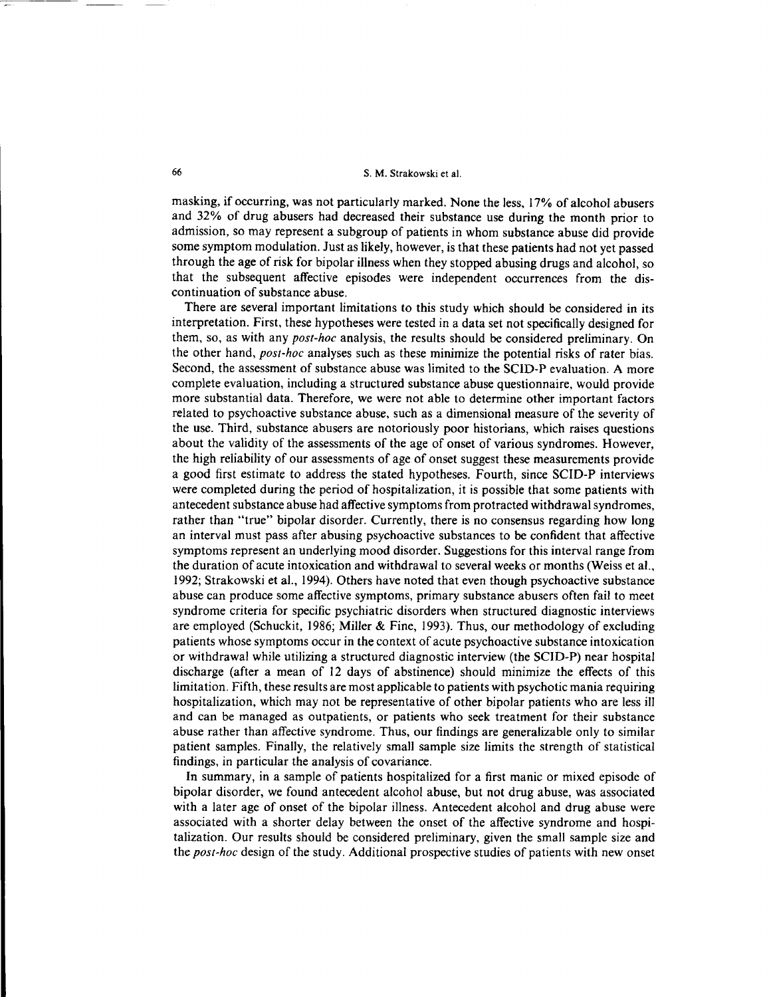# S. M. Strakowski et al.

masking, if occurring, was not particularly marked. None the less, 17% of alcohol abusers and 32% of drug abusers had decreased their substance use during the month prior to admission, so may represent a subgroup of patients in whom substance abuse did provide some symptom modulation. Just as likely, however, is that these patients had not yet passed through the age of risk for bipolar illness when they stopped abusing drugs and alcohot, so that the subsequent affective episodes were independent occurrences from the discontinuation of substance abuse.

There are several important limitations to this study which should be considered in its interpretation. First, these hypotheses were tested in a data set not specifically designed for them, so, as with any post-hoc analysis, the results should be considered preliminary. On the other hand, post-hoc analyses such as these minimize the potential risks of rater bias. Second, the assessment of substance abuse was limited to the SCID-P evaluation. A more complete evaluation, including a structured substance abuse questionnaire, would provide more substantial data. Therefore, we were not able to determine other important factors related to psychoactive substance abuse, such as a dimensional measure of the severity of the use. Third, substance abusers are notoriously poor historians, which raises questions about the validity of the assessments of the age of onset of various syndromes. However, the high reliability of our assessments of age of onset suggest these measurements provide a good first estimate to address the stated hypotheses. Fourth, since SCID-P interviews were completed during the period of hospitalization, it is possible that some patients with antecedent substance abuse had affective symptoms from protracted withdrawal syndromes, rather than "true" bipolar disorder. Currently, there is no consensus regarding how long an interval must pass after abusing psychoactive substances to be confident that affective symptoms represent an underlying mood disorder. Suggestions for this interval range from the duration of acute intoxication and withdrawal to several weeks or months (Weiss et al.. 1992; Strakowski et al.,1994). Others have noted that even though psychoactive substance abuse can produce some affective symptoms, primary substance abusers often fail to meet syndrome criteria for specific psychiatric disorders when structured diagnostic interviews are employed (Schuckit, 1986; Miller & Fine, 1993). Thus, our methodology of excluding patients whose symptoms occur in the context of acute psychoactive substance intoxication or withdrawal while utilizing a structured diagnostic interview (the SCID-P) near hospital discharge (after a mean of 12 days of abstinence) should minimize the effects of this limitation. Fifth, these results are most applicable to patients with psychotic mania requiring hospitalization, which may not be representative of other bipolar patients who are less ill and can be managed as outpatients, or patients who seek treatment for their substance abuse rather than affective syndrome. Thus, our findings are generalizable only to similar patient samples. Finally, the relatively small sample size limits the strength of statistical findings, in particular the analysis of covariance .

In summary, in a sample of patients hospitalized for a first manic or mixed episode of bipolar disorder, we found antecedent alcohol abuse, but not drug abuse, was associated with a later age of onset of the bipolar illness. Antecedent alcohol and drug abuse were associated with a shorter delay between the onset of the affective syndrome and hospitalization. Our results should be considered preliminary, given the small sample size and the post-hoc design of the study. Additional prospective studies of patients with new onset

66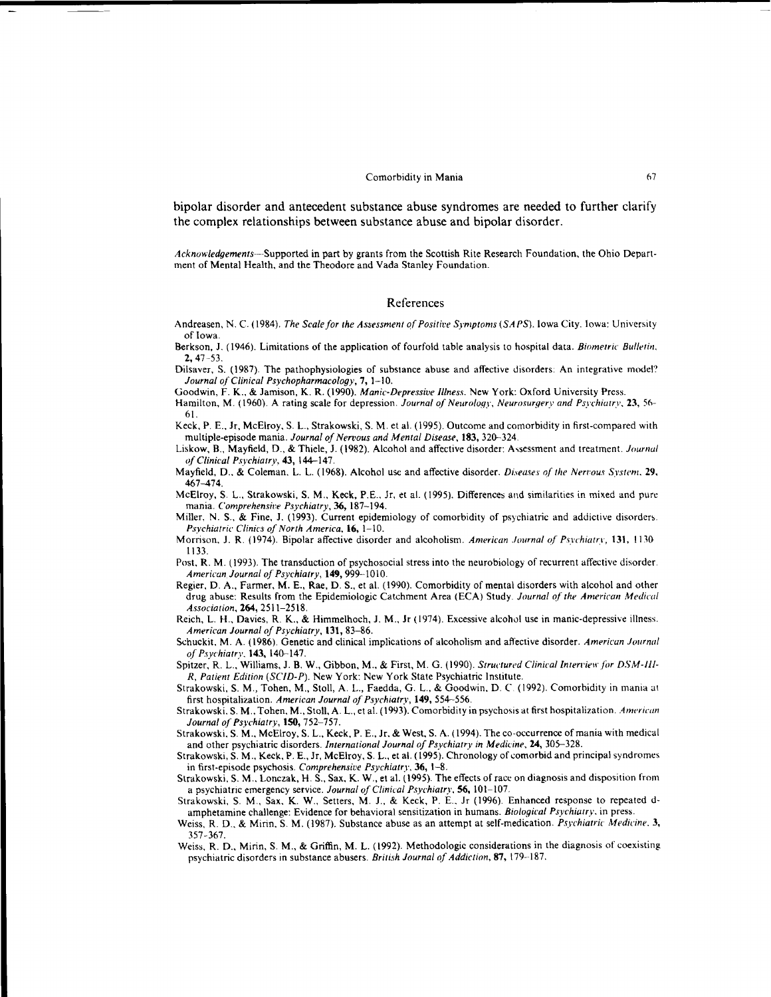bipolar disorder and antecedent substance abuse syndromes are needed to further clarify the complex relationships between substance abuse and bipolar disorder.

Acknowledgements—Supported in part by grants from the Scottish Rite Research Foundation, the Ohio Department of Mental Health, and the Theodore and Vada Stanley Foundation.

### References

Andreasen, N. C. (1984). The Scale for the Assessment of Positive Symptoms (SAPS). lowa City. Iowa: University of lowa.

Berkson, J. (1946). Limitations of the application of fourfold table analysis to hospital data. Biometric Bulletin. 2.47 53.

Dilsaver, S. (1987). The pathophysiologies of substance abuse and affective disorders: An integrative model? Journal of Clinical Psychopharmacology, 7, 1-10.

Goodwin, F. K., & Jamison, K. R. (1990). Manic-Depressive Illness. New York: Oxford University Press.

Hamilton, M. (1960). A rating scale for depression. Journal of Neurology, Neurosurgery and Psychiatry, 23, 56-6t.

Keck. P. E.. Jr, McElroy. S. L., Strakowski, S. M. et al. (1995). Outcome and comorbidity in first-compared with multiple-episode mania. Journal of Nervous and Mental Disease, 183, 320-324.

Liskow, B., Mayfield, D., & Thiele, J. (1982). Alcohol and affective disorder: Assessment and treatment. Journal of Clinical Psychiatry, 43, 144-147.

Mayfield, D., & Coleman. L. L. (1968). Alcohol use and affective disorder. Diseases of the Nervous System. 29. 467-474.

McElroy, S. L., Strakowski, S. M., Keck, P.E-, Jr, et al. (1995). Differences and similarities in mixed und pure mania. Comprehensive Psychiatry, 36, 187-194.

Miller. N. S., & Fine, J. (1993). Current epidemiology of comorbidity of psychiatric and addictive disorders. Psychiatric Clinics of North America, 16, 1-10.

Morrison, J. R. (1974). Bipolar affective disorder and alcoholism. American Journal of Psychiatry, 131, 1130 1r33.

Post, R. M. (1993). The transduction of psychosocial stress into the neurobiology of recurrent affective disorder. American Journal of Psychiatry, 149, 999-1010.

Regier, D. A., Farmer, M. E., Rae, D. S., et al. (1990). Comorbidity of mental disorders with alcohol and other drug abuse: Results from the Epidemiologic Catchment Area (ECA) Study. Journal of the American Medical Association, 264, 2511-2518.

Reich, L. H., Davies, R. K., & Himmelhoch, J. M.. Jr 11974). Excessive alcohol use in manic-depressive illness. American Journal of Psychiatry, 131, 83-86.

Schuckit, M. A. (1986). Genetic and clinical implications of alcoholism and affective disorder. American Journal of Psychiatry, 143, 140-147.

Spitzer, R. L., Williams, J. B. W., Gibbon, M., & First, M. G. (1990). Structured Clinical Interview for DSM-III-R, Patient Edition (SCID-P). New York: New York State Psychiatric Institute.

Strakowski, S. M., Tohen, M., Stoll, A. L., Facdda, G. L., & Goodwin. D. C ( 1992). Comorhidrty in mania at first hospitalization. American Journal of Psychiatry, 149, 554-556.

Strakowski, S. M., Tohen, M., Stoll, A. L., et al. (1993). Comorbidity in psychosis at first hospitalization. American Journal of Psychiatry, 150, 752-757.

Strakowski, S. M., McElroy, S. L., Keck, P. E., Jr, & West, S. A. (1994). The co-occurrence of mania with medical and other psychiatric disorders. International Journal of Psychiatry in Medicine, 24, 305-328.

Strakowski, S. M., Keck. P. E., Jr, McElroy, S. L., et al. (1995). Chronology of comorbidand principal syndromes in first-episode psychosis. Comprehensiue Psychiatry. 36, l-8.

Strakowski, S. M., Lonczak, H. S., Sax, K. W., et al. (1995). The effects of race on diagnosis and disposition from a psychiatric emergency service. Journal of Clinical Psychiatry, 56, 101-107.

Strakowski, S. M., Sax, K. W., Setters, M. J., & Keck, P. E., Jr (1996). Enhanced response to repeated damphetamine challenge: Evidence for behavioral sensitization in humans. Biological Psychiatry, in press.

Weiss, R. D., & Mirin, S. M. (1987). Substance abuse as an attempt at self-medication. Psychiatric Medicine. 3, 357-367.

Weiss, R. D., Mirin, S. M., & Criffin, M. L. (1992). Methodologic considerations inthe diagnosis of coexisting psychiatric disorders in substance abusers. British Journal of Addiction,87, 179-187.